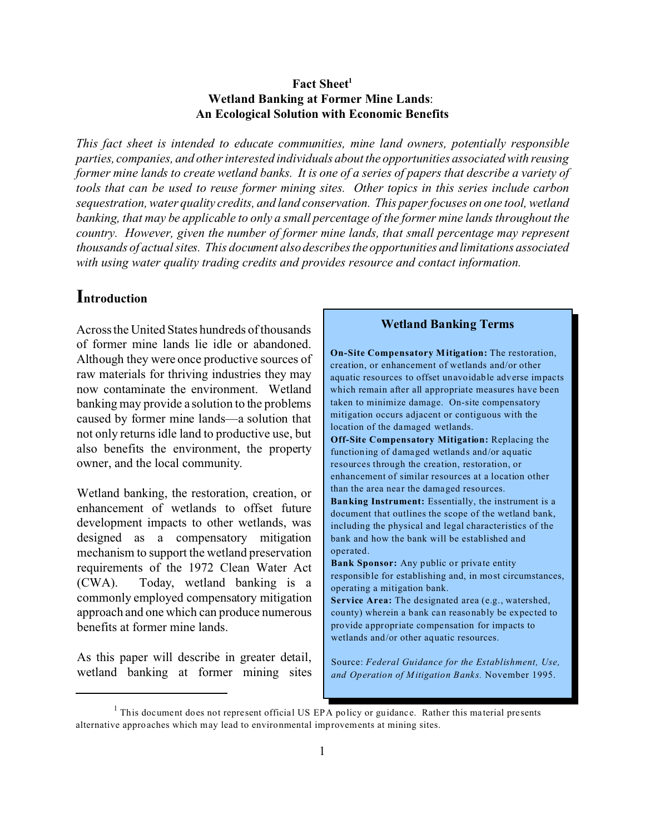### Fact Sheet<sup>1</sup> **Wetland Banking at Former Mine Lands**: **An Ecological Solution with Economic Benefits**

*This fact sheet is intended to educate communities, mine land owners, potentially responsible parties, companies, and other interested individuals about the opportunities associated with reusing former mine lands to create wetland banks. It is one of a series of papers that describe a variety of tools that can be used to reuse former mining sites. Other topics in this series include carbon sequestration, water quality credits, and land conservation. This paper focuses on one tool, wetland banking, that may be applicable to only a small percentage of the former mine lands throughout the country. However, given the number of former mine lands, that small percentage may represent thousands of actual sites. This document also describes the opportunities and limitations associated with using water quality trading credits and provides resource and contact information.* 

## **Introduction**

Across the United States hundreds of thousands of former mine lands lie idle or abandoned. Although they were once productive sources of raw materials for thriving industries they may now contaminate the environment. Wetland banking may provide a solution to the problems caused by former mine lands—a solution that not only returns idle land to productive use, but also benefits the environment, the property owner, and the local community.

Wetland banking, the restoration, creation, or enhancement of wetlands to offset future development impacts to other wetlands, was designed as a compensatory mitigation mechanism to support the wetland preservation requirements of the 1972 Clean Water Act (CWA). Today, wetland banking is a commonly employed compensatory mitigation approach and one which can produce numerous benefits at former mine lands.

As this paper will describe in greater detail, wetland banking at former mining sites

#### **Wetland Banking Terms**

**On-Site Compensatory M itigation:** The restoration, creation, or enhancement of wetlands and/or other aquatic resources to offset unavoidable adverse impacts which remain after all appropriate measures have been taken to minimize damage. On-site compensatory mitigation occurs adjacent or contiguous with the location of the damaged wetlands. **Off-Site Compensatory Mitigation:** Replacing the

functioning of damaged wetlands and/or aquatic resources through the creation, restoration, or enhancement of similar resources at a location other than the area near the damaged resources.

**Ban king Instrument:** Essentially, the instrument is a document that outlines the scope of the wetland bank, including the physical and legal characteristics of the bank and how the bank will be established and operated.

**Bank Sponsor:** Any public or private entity responsible for establishing and, in most circumstances, operating a mitigation bank. **Service Area:** The designated area (e.g., watershed,

county) wherein a bank can reasonably be expected to provide appropriate compensation for impacts to wetlands and/or other aquatic resources.

Source: *Federal Guidance for the Establishment, Use,*  and Operation of Mitigation Banks. November 1995.

<sup>&</sup>lt;sup>1</sup> This document does not represent official US EPA policy or guidance. Rather this material presents alternative approaches which may lead to environmental improvements at mining sites.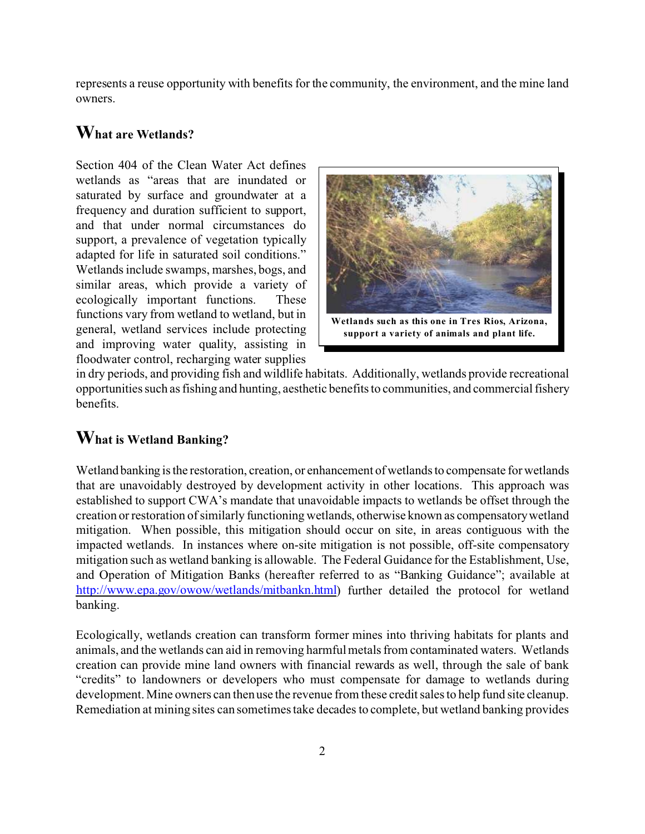represents a reuse opportunity with benefits for the community, the environment, and the mine land owners.

## **What are Wetlands?**

Section 404 of the Clean Water Act defines wetlands as "areas that are inundated or saturated by surface and groundwater at a frequency and duration sufficient to support, and that under normal circumstances do support, a prevalence of vegetation typically adapted for life in saturated soil conditions." Wetlands include swamps, marshes, bogs, and similar areas, which provide a variety of ecologically important functions. These functions vary from wetland to wetland, but in **Wetlands** such as this one in Tres Rios, Arizona, general, wetland services include protecting **support a variety of animals and plant life.** and improving water quality, assisting in floodwater control, recharging water supplies



in dry periods, and providing fish and wildlife habitats. Additionally, wetlands provide recreational opportunities such as fishing and hunting, aesthetic benefits to communities, and commercial fishery benefits.

## **What is Wetland Banking?**

Wetland banking is the restoration, creation, or enhancement of wetlands to compensate for wetlands that are unavoidably destroyed by development activity in other locations. This approach was established to support CWA's mandate that unavoidable impacts to wetlands be offset through the creation or restoration of similarly functioning wetlands, otherwise known as compensatory wetland mitigation. When possible, this mitigation should occur on site, in areas contiguous with the impacted wetlands. In instances where on-site mitigation is not possible, off-site compensatory mitigation such as wetland banking is allowable. The Federal Guidance for the Establishment, Use, and Operation of Mitigation Banks (hereafter referred to as "Banking Guidance"; available at http://www.epa.gov/owow/wetlands/mitbankn.html) further detailed the protocol for wetland banking.

Ecologically, wetlands creation can transform former mines into thriving habitats for plants and animals, and the wetlands can aid in removing harmful metals from contaminated waters. Wetlands creation can provide mine land owners with financial rewards as well, through the sale of bank "credits" to landowners or developers who must compensate for damage to wetlands during development. Mine owners can then use the revenue from these credit sales to help fund site cleanup. Remediation at mining sites can sometimes take decades to complete, but wetland banking provides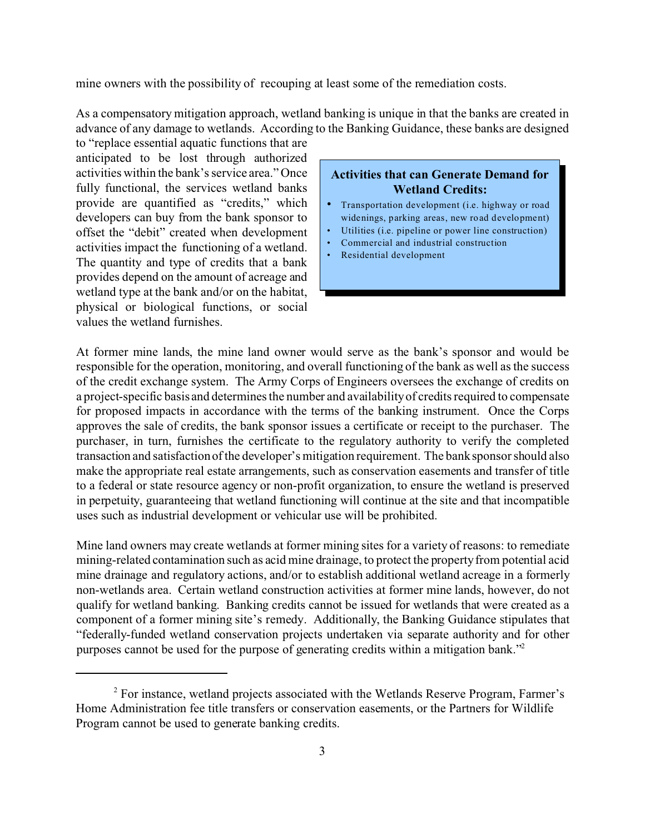mine owners with the possibility of recouping at least some of the remediation costs.

As a compensatory mitigation approach, wetland banking is unique in that the banks are created in advance of any damage to wetlands. According to the Banking Guidance, these banks are designed

to "replace essential aquatic functions that are anticipated to be lost through authorized activities within the bank's service area." Once fully functional, the services wetland banks provide are quantified as "credits," which developers can buy from the bank sponsor to offset the "debit" created when development activities impact the functioning of a wetland. The quantity and type of credits that a bank provides depend on the amount of acreage and wetland type at the bank and/or on the habitat, physical or biological functions, or social values the wetland furnishes.

### **Activities that can Generate Demand for Wetland Credits:**

- Transportation development (i.e. highway or road widenings, parking areas, new road development)
- Utilities (*i.e.* pipeline or power line construction)
- Commercial and industrial construction
- Residential development

At former mine lands, the mine land owner would serve as the bank's sponsor and would be responsible for the operation, monitoring, and overall functioning of the bank as well as the success of the credit exchange system. The Army Corps of Engineers oversees the exchange of credits on a project-specific basis and determines the number and availability of credits required to compensate for proposed impacts in accordance with the terms of the banking instrument. Once the Corps approves the sale of credits, the bank sponsor issues a certificate or receipt to the purchaser. The purchaser, in turn, furnishes the certificate to the regulatory authority to verify the completed transaction and satisfaction of the developer's mitigation requirement. The bank sponsor should also make the appropriate real estate arrangements, such as conservation easements and transfer of title to a federal or state resource agency or non-profit organization, to ensure the wetland is preserved in perpetuity, guaranteeing that wetland functioning will continue at the site and that incompatible uses such as industrial development or vehicular use will be prohibited.

Mine land owners may create wetlands at former mining sites for a variety of reasons: to remediate mining-related contamination such as acid mine drainage, to protect the property from potential acid mine drainage and regulatory actions, and/or to establish additional wetland acreage in a formerly non-wetlands area. Certain wetland construction activities at former mine lands, however, do not qualify for wetland banking. Banking credits cannot be issued for wetlands that were created as a component of a former mining site's remedy. Additionally, the Banking Guidance stipulates that "federally-funded wetland conservation projects undertaken via separate authority and for other purposes cannot be used for the purpose of generating credits within a mitigation bank."2

<sup>&</sup>lt;sup>2</sup> For instance, wetland projects associated with the Wetlands Reserve Program, Farmer's Home Administration fee title transfers or conservation easements, or the Partners for Wildlife Program cannot be used to generate banking credits.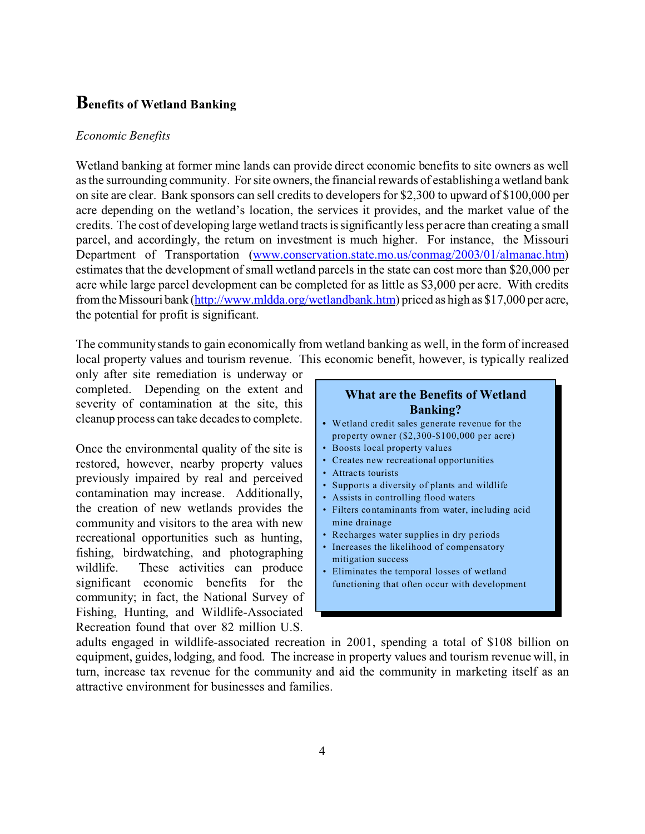## **Benefits of Wetland Banking**

#### *Economic Benefits*

Wetland banking at former mine lands can provide direct economic benefits to site owners as well as the surrounding community. For site owners, the financial rewards of establishing a wetland bank on site are clear. Bank sponsors can sell credits to developers for \$2,300 to upward of \$100,000 per acre depending on the wetland's location, the services it provides, and the market value of the credits. The cost of developing large wetland tracts is significantly less per acre than creating a small parcel, and accordingly, the return on investment is much higher. For instance, the Missouri Department of Transportation (www.conservation.state.mo.us/conmag/2003/01/almanac.htm) estimates that the development of small wetland parcels in the state can cost more than \$20,000 per acre while large parcel development can be completed for as little as \$3,000 per acre. With credits from the Missouri bank (http://www.mldda.org/wetlandbank.htm) priced as high as \$17,000 per acre, the potential for profit is significant.

The community stands to gain economically from wetland banking as well, in the form of increased local property values and tourism revenue. This economic benefit, however, is typically realized

only after site remediation is underway or completed. Depending on the extent and severity of contamination at the site, this cleanup process can take decades to complete.

Once the environmental quality of the site is restored, however, nearby property values previously impaired by real and perceived contamination may increase. Additionally, the creation of new wetlands provides the community and visitors to the area with new recreational opportunities such as hunting, fishing, birdwatching, and photographing wildlife. These activities can produce significant economic benefits for the community; in fact, the National Survey of Fishing, Hunting, and Wildlife-Associated Recreation found that over 82 million U.S.

#### **What are the Benefits of Wetland Banking? •** W etland credit sales generate revenue for the property owner (\$2,300-\$100,000 per acre) • Boosts local property values • Creates new recreational opportunities • Attracts tourists • Supports a diversity of plants and wildlife • Assists in controlling flood waters • Filters co ntamin ants from water, inc luding acid mine drainage • Recharges water supplies in dry periods • Increases the likelihood of compensatory mitigation success • Eliminates the temporal losses of wetland functioning that often occur with development

adults engaged in wildlife-associated recreation in 2001, spending a total of \$108 billion on equipment, guides, lodging, and food. The increase in property values and tourism revenue will, in turn, increase tax revenue for the community and aid the community in marketing itself as an attractive environment for businesses and families.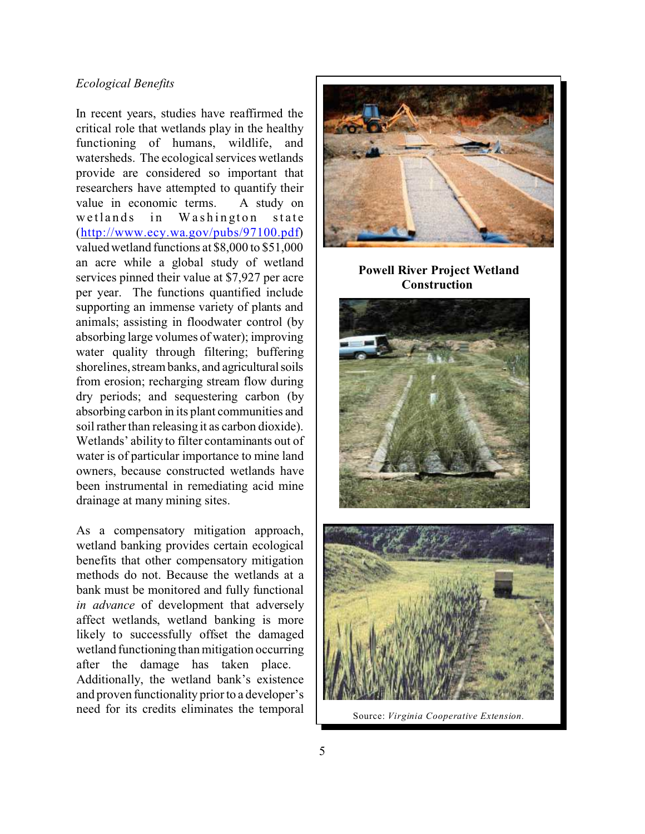#### *Ecological Benefits*

In recent years, studies have reaffirmed the critical role that wetlands play in the healthy functioning of humans, wildlife, and watersheds. The ecological services wetlands provide are considered so important that researchers have attempted to quantify their value in economic terms. A study on wetlands in Washington state (http://www.ecy.wa.gov/pubs/97100.pdf) valued wetland functions at \$8,000 to \$51,000 an acre while a global study of wetland services pinned their value at \$7,927 per acre per year. The functions quantified include supporting an immense variety of plants and animals; assisting in floodwater control (by absorbing large volumes of water); improving water quality through filtering; buffering shorelines, stream banks, and agricultural soils from erosion; recharging stream flow during dry periods; and sequestering carbon (by absorbing carbon in its plant communities and soil rather than releasing it as carbon dioxide). Wetlands' ability to filter contaminants out of water is of particular importance to mine land owners, because constructed wetlands have been instrumental in remediating acid mine drainage at many mining sites.

As a compensatory mitigation approach, wetland banking provides certain ecological benefits that other compensatory mitigation methods do not. Because the wetlands at a bank must be monitored and fully functional *in advance* of development that adversely affect wetlands, wetland banking is more likely to successfully offset the damaged wetland functioning than mitigation occurring after the damage has taken place. Additionally, the wetland bank's existence and proven functionality prior to a developer's need for its credits eliminates the temporal



**Powell River Project Wetland Construction** 





Source: *Virginia Cooperative Extension.*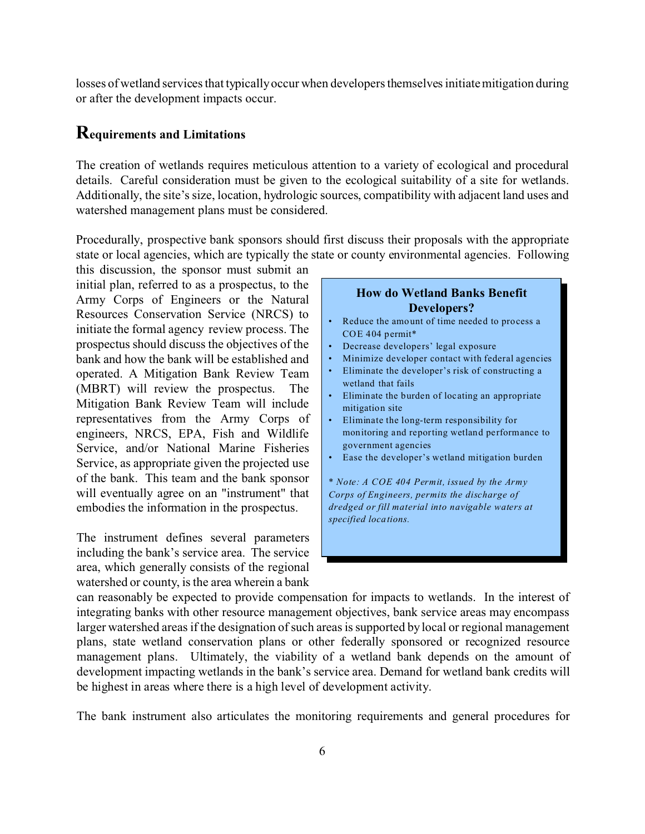losses of wetland services that typically occur when developers themselves initiate mitigation during or after the development impacts occur.

### **Requirements and Limitations**

The creation of wetlands requires meticulous attention to a variety of ecological and procedural details. Careful consideration must be given to the ecological suitability of a site for wetlands. Additionally, the site's size, location, hydrologic sources, compatibility with adjacent land uses and watershed management plans must be considered.

Procedurally, prospective bank sponsors should first discuss their proposals with the appropriate state or local agencies, which are typically the state or county environmental agencies. Following

this discussion, the sponsor must submit an initial plan, referred to as a prospectus, to the Army Corps of Engineers or the Natural Resources Conservation Service (NRCS) to initiate the formal agency review process. The prospectus should discuss the objectives of the bank and how the bank will be established and operated. A Mitigation Bank Review Team (MBRT) will review the prospectus. The Mitigation Bank Review Team will include representatives from the Army Corps of engineers, NRCS, EPA, Fish and Wildlife Service, and/or National Marine Fisheries Service, as appropriate given the projected use of the bank. This team and the bank sponsor will eventually agree on an "instrument" that embodies the information in the prospectus.

The instrument defines several parameters including the bank's service area. The service area, which generally consists of the regional watershed or county, is the area wherein a bank

#### **How do Wetland Banks Benefit Developers?**

- Reduce the amount of time needed to process a COE 404 permit\*
- Decrease developers' legal exposure
- Minimize developer contact with federal agencies
- Eliminate the developer's risk of constructing a wetland that fails
- Eliminate the burden of locating an appropriate mitigation site
- Eliminate the long-term responsibility for mon itoring and reporting wetland performance to government agencies
- Ease the developer's wetland mitigation burden
- \* *Note: A COE 404 Permit, issued by the Army Corps of Engineers, permits the discharge of dredged or fill material into navigable waters at specified loca tions.*

can reasonably be expected to provide compensation for impacts to wetlands. In the interest of integrating banks with other resource management objectives, bank service areas may encompass larger watershed areas if the designation of such areas is supported by local or regional management plans, state wetland conservation plans or other federally sponsored or recognized resource management plans. Ultimately, the viability of a wetland bank depends on the amount of development impacting wetlands in the bank's service area. Demand for wetland bank credits will be highest in areas where there is a high level of development activity.

The bank instrument also articulates the monitoring requirements and general procedures for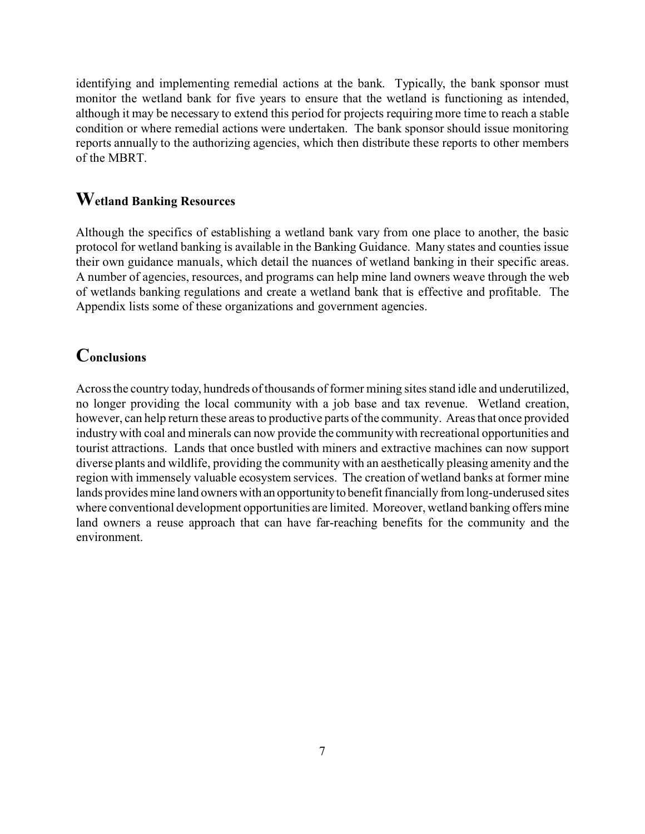identifying and implementing remedial actions at the bank. Typically, the bank sponsor must monitor the wetland bank for five years to ensure that the wetland is functioning as intended, although it may be necessary to extend this period for projects requiring more time to reach a stable condition or where remedial actions were undertaken. The bank sponsor should issue monitoring reports annually to the authorizing agencies, which then distribute these reports to other members of the MBRT.

## **Wetland Banking Resources**

Although the specifics of establishing a wetland bank vary from one place to another, the basic protocol for wetland banking is available in the Banking Guidance. Many states and counties issue their own guidance manuals, which detail the nuances of wetland banking in their specific areas. A number of agencies, resources, and programs can help mine land owners weave through the web of wetlands banking regulations and create a wetland bank that is effective and profitable. The Appendix lists some of these organizations and government agencies.

## **Conclusions**

Across the country today, hundreds of thousands of former mining sites stand idle and underutilized, no longer providing the local community with a job base and tax revenue. Wetland creation, however, can help return these areas to productive parts of the community. Areas that once provided industry with coal and minerals can now provide the community with recreational opportunities and tourist attractions. Lands that once bustled with miners and extractive machines can now support diverse plants and wildlife, providing the community with an aesthetically pleasing amenity and the region with immensely valuable ecosystem services. The creation of wetland banks at former mine lands provides mine land owners with an opportunityto benefit financially from long-underused sites where conventional development opportunities are limited. Moreover, wetland banking offers mine land owners a reuse approach that can have far-reaching benefits for the community and the environment.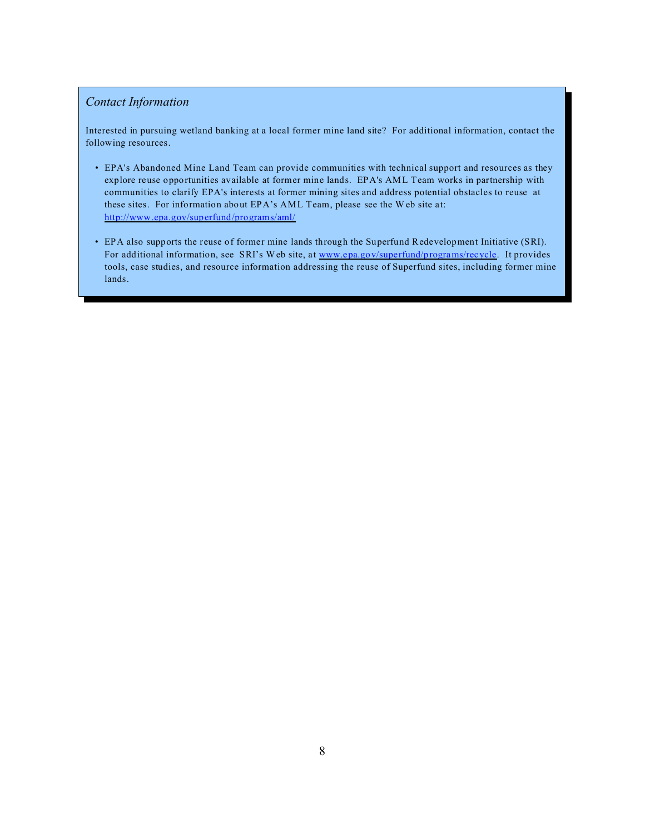### *Contact Information*

Interested in pursuing wetland banking at a local former mine land site? For additional information, contact the following resources.

- EPA's Abandoned Mine Land Team can provide communities with technical support and resources as they explore reuse opportunities available at former mine lands. EPA's AML Team works in partnership with communities to clarify EPA's interests at former mining sites and address potential obstacles to reuse at these sites. For information about  $EPA$ 's AML Team, please see the W eb site at: http://www .epa.gov/sup erfund /programs/aml/
- EPA also supports the reuse of former mine lands through the Superfund Redevelopment Initiative (SRI). For additional information, see SRI's Web site, at www.epa.gov/superfund/programs/recycle. It provides tools, case studies, and resource information addressing the reuse of Superfund sites, including former mine lands.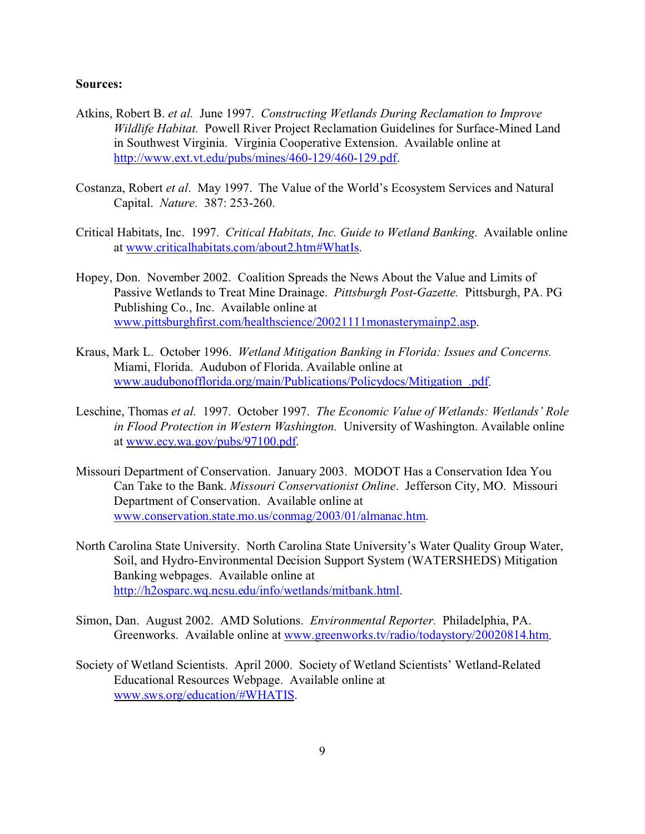#### **Sources:**

- Atkins, Robert B. *et al.* June 1997. *Constructing Wetlands During Reclamation to Improve Wildlife Habitat.* Powell River Project Reclamation Guidelines for Surface-Mined Land in Southwest Virginia. Virginia Cooperative Extension. Available online at http://www.ext.vt.edu/pubs/mines/460-129/460-129.pdf.
- Costanza, Robert *et al*. May 1997. The Value of the World's Ecosystem Services and Natural Capital. *Nature.* 387: 253-260.
- Critical Habitats, Inc. 1997. *Critical Habitats, Inc. Guide to Wetland Banking*. Available online at www.criticalhabitats.com/about2.htm#WhatIs.
- Hopey, Don. November 2002. Coalition Spreads the News About the Value and Limits of Passive Wetlands to Treat Mine Drainage. *Pittsburgh Post-Gazette.* Pittsburgh, PA. PG Publishing Co., Inc. Available online at www.pittsburghfirst.com/healthscience/20021111monasterymainp2.asp.
- Kraus, Mark L. October 1996. *Wetland Mitigation Banking in Florida: Issues and Concerns.*  Miami, Florida. Audubon of Florida. Available online at www.audubonofflorida.org/main/Publications/Policydocs/Mitigation\_.pdf.
- Leschine, Thomas *et al.* 1997. October 1997. *The Economic Value of Wetlands: Wetlands' Role in Flood Protection in Western Washington.* University of Washington. Available online at www.ecy.wa.gov/pubs/97100.pdf.
- Missouri Department of Conservation. January 2003. MODOT Has a Conservation Idea You Can Take to the Bank. *Missouri Conservationist Online*. Jefferson City, MO. Missouri Department of Conservation. Available online at www.conservation.state.mo.us/conmag/2003/01/almanac.htm.
- North Carolina State University. North Carolina State University's Water Quality Group Water, Soil, and Hydro-Environmental Decision Support System (WATERSHEDS) Mitigation Banking webpages. Available online at http://h2osparc.wq.ncsu.edu/info/wetlands/mitbank.html.
- Simon, Dan. August 2002. AMD Solutions. *Environmental Reporter.* Philadelphia, PA. Greenworks. Available online at www.greenworks.tv/radio/todaystory/20020814.htm.
- Society of Wetland Scientists. April 2000. Society of Wetland Scientists' Wetland-Related Educational Resources Webpage. Available online at www.sws.org/education/#WHATIS.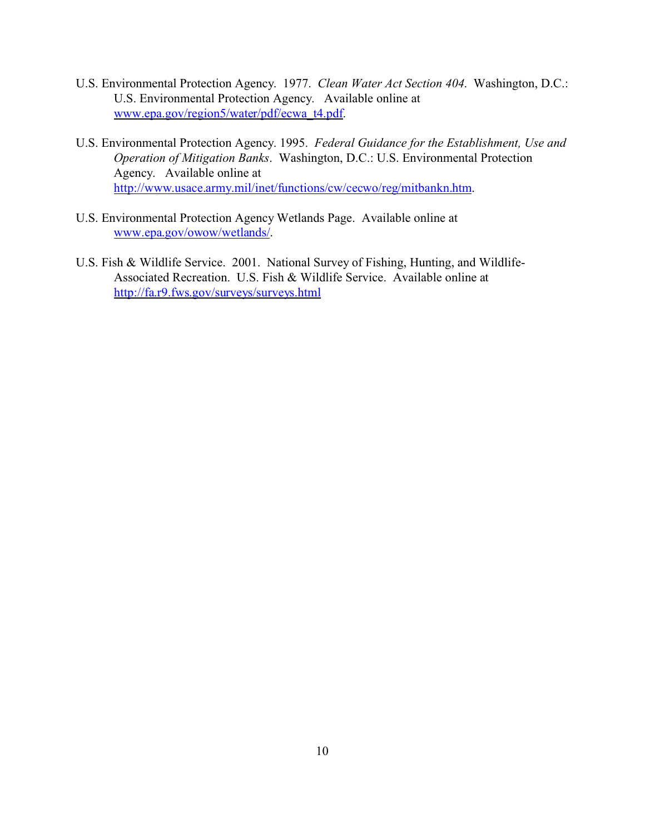- U.S. Environmental Protection Agency. 1977. *Clean Water Act Section 404*. Washington, D.C.: U.S. Environmental Protection Agency. Available online at www.epa.gov/region5/water/pdf/ecwa\_t4.pdf.
- U.S. Environmental Protection Agency. 1995. *Federal Guidance for the Establishment, Use and Operation of Mitigation Banks*. Washington, D.C.: U.S. Environmental Protection Agency. Available online at http://www.usace.army.mil/inet/functions/cw/cecwo/reg/mitbankn.htm.
- U.S. Environmental Protection Agency Wetlands Page. Available online at www.epa.gov/owow/wetlands/.
- U.S. Fish & Wildlife Service. 2001. National Survey of Fishing, Hunting, and Wildlife-Associated Recreation. U.S. Fish & Wildlife Service. Available online at http://fa.r9.fws.gov/surveys/surveys.html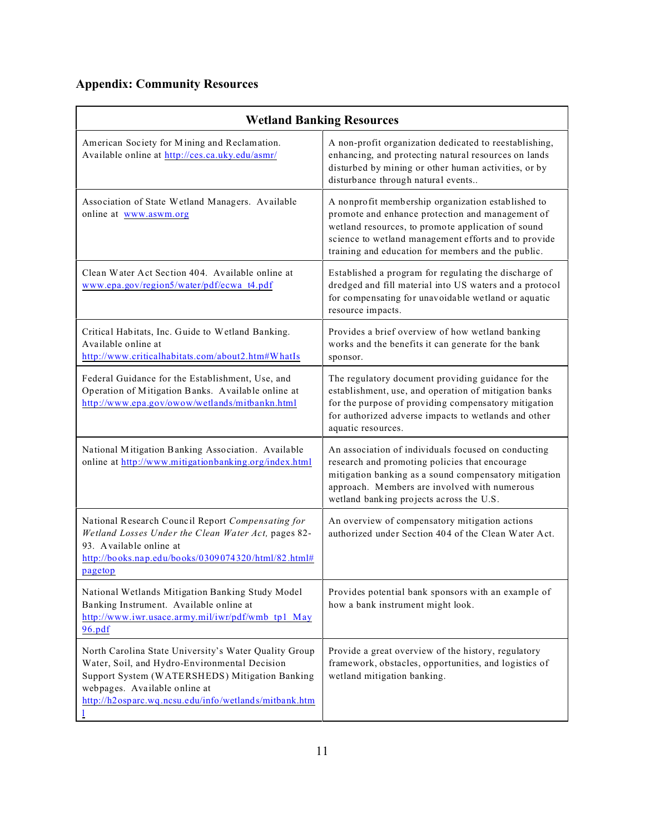# **Appendix: Community Resources**

| <b>Wetland Banking Resources</b>                                                                                                                                                                                                                   |                                                                                                                                                                                                                                                                            |
|----------------------------------------------------------------------------------------------------------------------------------------------------------------------------------------------------------------------------------------------------|----------------------------------------------------------------------------------------------------------------------------------------------------------------------------------------------------------------------------------------------------------------------------|
| American Society for Mining and Reclamation.<br>Available online at http://ces.ca.uky.edu/asmr/                                                                                                                                                    | A non-profit organization dedicated to reestablishing,<br>enhancing, and protecting natural resources on lands<br>disturbed by mining or other human activities, or by<br>disturbance through natural events                                                               |
| Association of State Wetland Managers. Available<br>online at www.aswm.org                                                                                                                                                                         | A nonprofit membership organization established to<br>promote and enhance protection and management of<br>wetland resources, to promote application of sound<br>science to wetland management efforts and to provide<br>training and education for members and the public. |
| Clean Water Act Section 404. Available online at<br>www.epa.gov/region5/water/pdf/ecwa_t4.pdf                                                                                                                                                      | Established a program for regulating the discharge of<br>dredged and fill material into US waters and a protocol<br>for compensating for unavoidable wetland or aquatic<br>resource impacts.                                                                               |
| Critical Habitats, Inc. Guide to Wetland Banking.<br>Available online at<br>http://www.criticalhabitats.com/about2.htm#WhatIs                                                                                                                      | Provides a brief overview of how wetland banking<br>works and the benefits it can generate for the bank<br>sponsor.                                                                                                                                                        |
| Federal Guidance for the Establishment, Use, and<br>Operation of Mitigation Banks. Available online at<br>http://www.epa.gov/owow/wetlands/mitbankn.html                                                                                           | The regulatory document providing guidance for the<br>establishment, use, and operation of mitigation banks<br>for the purpose of providing compensatory mitigation<br>for authorized adverse impacts to wetlands and other<br>aquatic resources.                          |
| National Mitigation Banking Association. Available<br>online at http://www.mitigationbanking.org/index.html                                                                                                                                        | An association of individuals focused on conducting<br>research and promoting policies that encourage<br>mitigation banking as a sound compensatory mitigation<br>approach. Members are involved with numerous<br>wetland banking projects across the U.S.                 |
| National Research Council Report Compensating for<br>Wetland Losses Under the Clean Water Act, pages 82-<br>93. Available online at<br>http://books.nap.edu/books/0309074320/html/82.html#<br>pagetop                                              | An overview of compensatory mitigation actions<br>authorized under Section 404 of the Clean Water Act.                                                                                                                                                                     |
| National Wetlands Mitigation Banking Study Model<br>Banking Instrument. Available online at<br>http://www.iwr.usace.army.mil/iwr/pdf/wmb tp1 May<br>96.pdf                                                                                         | Provides potential bank sponsors with an example of<br>how a bank instrument might look.                                                                                                                                                                                   |
| North Carolina State University's Water Quality Group<br>Water, Soil, and Hydro-Environmental Decision<br>Support System (WATERSHEDS) Mitigation Banking<br>webpages. Available online at<br>http://h2osparc.wq.ncsu.edu/info/wetlands/mitbank.htm | Provide a great overview of the history, regulatory<br>framework, obstacles, opportunities, and logistics of<br>wetland mitigation banking.                                                                                                                                |